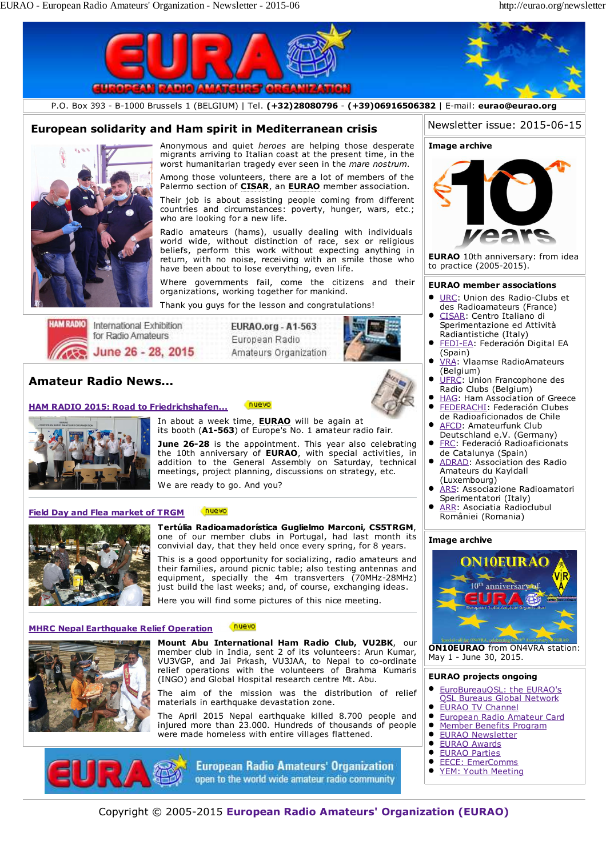